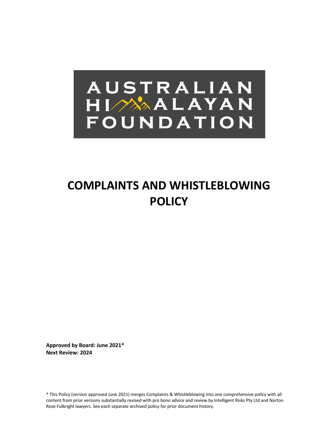# AUSTRALIAN HIMAALAYAN FOUNDATION

### **COMPLAINTS AND WHISTLEBLOWING POLICY**

**Approved by Board: June 2021\* Next Review: 2024**

\* This Policy (version approved June 2021) merges Complaints & Whistleblowing into one comprehensive policy with all content from prior versions substantially revised with pro bono advice and review by Intelligent Risks Pty Ltd and Norton Rose Fulbright lawyers. See each separate archived policy for prior document history.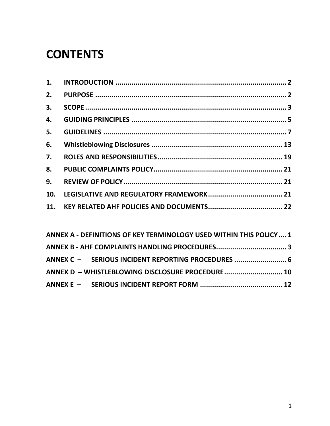### **CONTENTS**

| 1.  |  |
|-----|--|
| 2.  |  |
| 3.  |  |
| 4.  |  |
| 5.  |  |
| 6.  |  |
| 7.  |  |
| 8.  |  |
| 9.  |  |
| 10. |  |
| 11. |  |
|     |  |

| ANNEX A - DEFINITIONS OF KEY TERMINOLOGY USED WITHIN THIS POLICY  1 |  |
|---------------------------------------------------------------------|--|
|                                                                     |  |
| ANNEX C - SERIOUS INCIDENT REPORTING PROCEDURES  6                  |  |
| ANNEX D - WHISTLEBLOWING DISCLOSURE PROCEDURE 10                    |  |
|                                                                     |  |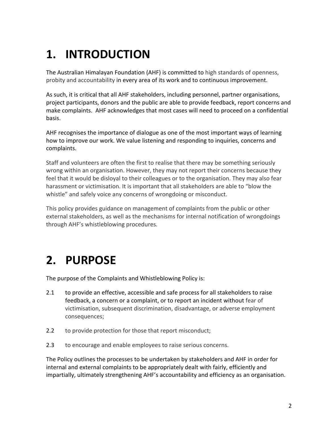## **1. INTRODUCTION**

The Australian Himalayan Foundation (AHF) is committed to high standards of openness, probity and accountability in every area of its work and to continuous improvement.

As such, it is critical that all AHF stakeholders, including personnel, partner organisations, project participants, donors and the public are able to provide feedback, report concerns and make complaints. AHF acknowledges that most cases will need to proceed on a confidential basis.

AHF recognises the importance of dialogue as one of the most important ways of learning how to improve our work. We value listening and responding to inquiries, concerns and complaints.

Staff and volunteers are often the first to realise that there may be something seriously wrong within an organisation. However, they may not report their concerns because they feel that it would be disloyal to their colleagues or to the organisation. They may also fear harassment or victimisation. It is important that all stakeholders are able to "blow the whistle" and safely voice any concerns of wrongdoing or misconduct.

This policy provides guidance on management of complaints from the public or other external stakeholders, as well as the mechanisms for internal notification of wrongdoings through AHF's whistleblowing procedures.

## **2. PURPOSE**

The purpose of the Complaints and Whistleblowing Policy is:

- 2.1 to provide an effective, accessible and safe process for all stakeholders to raise feedback, a concern or a complaint, or to report an incident without fear of victimisation, subsequent discrimination, disadvantage, or adverse employment consequences;
- 2.2 to provide protection for those that report misconduct;
- 2.3 to encourage and enable employees to raise serious concerns.

The Policy outlines the processes to be undertaken by stakeholders and AHF in order for internal and external complaints to be appropriately dealt with fairly, efficiently and impartially, ultimately strengthening AHF's accountability and efficiency as an organisation.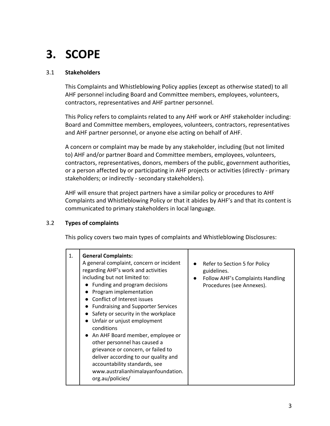## **3. SCOPE**

#### 3.1 **Stakeholders**

This Complaints and Whistleblowing Policy applies (except as otherwise stated) to all AHF personnel including Board and Committee members, employees, volunteers, contractors, representatives and AHF partner personnel.

This Policy refers to complaints related to any AHF work or AHF stakeholder including: Board and Committee members, employees, volunteers, contractors, representatives and AHF partner personnel, or anyone else acting on behalf of AHF.

A concern or complaint may be made by any stakeholder, including (but not limited to) AHF and/or partner Board and Committee members, employees, volunteers, contractors, representatives, donors, members of the public, government authorities, or a person affected by or participating in AHF projects or activities (directly - primary stakeholders; or indirectly - secondary stakeholders).

AHF will ensure that project partners have a similar policy or procedures to AHF Complaints and Whistleblowing Policy or that it abides by AHF's and that its content is communicated to primary stakeholders in local language.

#### 3.2 **Types of complaints**

This policy covers two main types of complaints and Whistleblowing Disclosures: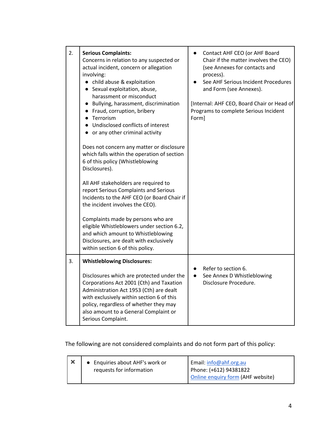| 2. | <b>Serious Complaints:</b><br>Concerns in relation to any suspected or<br>actual incident, concern or allegation<br>involving:<br>• child abuse & exploitation<br>• Sexual exploitation, abuse,<br>harassment or misconduct<br>• Bullying, harassment, discrimination<br>• Fraud, corruption, bribery<br>Terrorism<br>Undisclosed conflicts of interest<br>or any other criminal activity<br>Does not concern any matter or disclosure<br>which falls within the operation of section<br>6 of this policy (Whistleblowing<br>Disclosures).<br>All AHF stakeholders are required to<br>report Serious Complaints and Serious<br>Incidents to the AHF CEO (or Board Chair if<br>the incident involves the CEO).<br>Complaints made by persons who are<br>eligible Whistleblowers under section 6.2,<br>and which amount to Whistleblowing<br>Disclosures, are dealt with exclusively<br>within section 6 of this policy. | Contact AHF CEO (or AHF Board<br>Chair if the matter involves the CEO)<br>(see Annexes for contacts and<br>process).<br>See AHF Serious Incident Procedures<br>and Form (see Annexes).<br>[Internal: AHF CEO, Board Chair or Head of<br>Programs to complete Serious Incident<br>Form] |
|----|------------------------------------------------------------------------------------------------------------------------------------------------------------------------------------------------------------------------------------------------------------------------------------------------------------------------------------------------------------------------------------------------------------------------------------------------------------------------------------------------------------------------------------------------------------------------------------------------------------------------------------------------------------------------------------------------------------------------------------------------------------------------------------------------------------------------------------------------------------------------------------------------------------------------|----------------------------------------------------------------------------------------------------------------------------------------------------------------------------------------------------------------------------------------------------------------------------------------|
| 3. | <b>Whistleblowing Disclosures:</b><br>Disclosures which are protected under the<br>Corporations Act 2001 (Cth) and Taxation<br>Administration Act 1953 (Cth) are dealt<br>with exclusively within section 6 of this<br>policy, regardless of whether they may<br>also amount to a General Complaint or<br>Serious Complaint.                                                                                                                                                                                                                                                                                                                                                                                                                                                                                                                                                                                           | Refer to section 6.<br>See Annex D Whistleblowing<br>$\bullet$<br>Disclosure Procedure.                                                                                                                                                                                                |

### The following are not considered complaints and do not form part of this policy:

|  | • Enquiries about AHF's work or<br>requests for information | Email: info@ahf.org.au<br>Phone: (+612) 94381822 |
|--|-------------------------------------------------------------|--------------------------------------------------|
|  |                                                             | Online enquiry form (AHF website)                |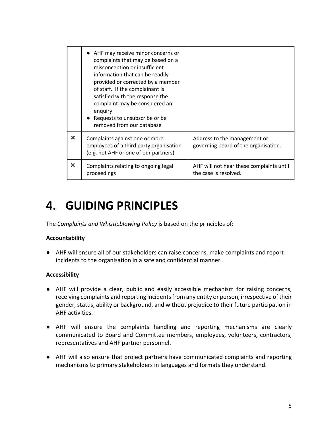|                       | AHF may receive minor concerns or<br>complaints that may be based on a<br>misconception or insufficient<br>information that can be readily<br>provided or corrected by a member<br>of staff. If the complainant is<br>satisfied with the response the<br>complaint may be considered an<br>enquiry<br>• Requests to unsubscribe or be<br>removed from our database |                                                                      |
|-----------------------|--------------------------------------------------------------------------------------------------------------------------------------------------------------------------------------------------------------------------------------------------------------------------------------------------------------------------------------------------------------------|----------------------------------------------------------------------|
| ×                     | Complaints against one or more<br>employees of a third party organisation<br>(e.g. not AHF or one of our partners)                                                                                                                                                                                                                                                 | Address to the management or<br>governing board of the organisation. |
| $\boldsymbol{\times}$ | Complaints relating to ongoing legal<br>proceedings                                                                                                                                                                                                                                                                                                                | AHF will not hear these complaints until<br>the case is resolved.    |

### **4. GUIDING PRINCIPLES**

The *Complaints and Whistleblowing Policy* is based on the principles of:

#### **Accountability**

● AHF will ensure all of our stakeholders can raise concerns, make complaints and report incidents to the organisation in a safe and confidential manner.

#### **Accessibility**

- AHF will provide a clear, public and easily accessible mechanism for raising concerns, receiving complaints and reporting incidents from any entity or person, irrespective of their gender, status, ability or background, and without prejudice to their future participation in AHF activities.
- AHF will ensure the complaints handling and reporting mechanisms are clearly communicated to Board and Committee members, employees, volunteers, contractors, representatives and AHF partner personnel.
- AHF will also ensure that project partners have communicated complaints and reporting mechanisms to primary stakeholders in languages and formats they understand.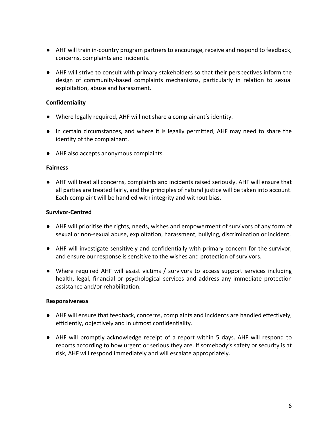- AHF will train in-country program partners to encourage, receive and respond to feedback, concerns, complaints and incidents.
- AHF will strive to consult with primary stakeholders so that their perspectives inform the design of community-based complaints mechanisms, particularly in relation to sexual exploitation, abuse and harassment.

#### **Confidentiality**

- Where legally required, AHF will not share a complainant's identity.
- In certain circumstances, and where it is legally permitted, AHF may need to share the identity of the complainant.
- AHF also accepts anonymous complaints.

#### **Fairness**

● AHF will treat all concerns, complaints and incidents raised seriously. AHF will ensure that all parties are treated fairly, and the principles of natural justice will be taken into account. Each complaint will be handled with integrity and without bias.

#### **Survivor-Centred**

- AHF will prioritise the rights, needs, wishes and empowerment of survivors of any form of sexual or non-sexual abuse, exploitation, harassment, bullying, discrimination or incident.
- AHF will investigate sensitively and confidentially with primary concern for the survivor, and ensure our response is sensitive to the wishes and protection of survivors.
- Where required AHF will assist victims / survivors to access support services including health, legal, financial or psychological services and address any immediate protection assistance and/or rehabilitation.

#### **Responsiveness**

- AHF will ensure that feedback, concerns, complaints and incidents are handled effectively, efficiently, objectively and in utmost confidentiality.
- AHF will promptly acknowledge receipt of a report within 5 days. AHF will respond to reports according to how urgent or serious they are. If somebody's safety or security is at risk, AHF will respond immediately and will escalate appropriately.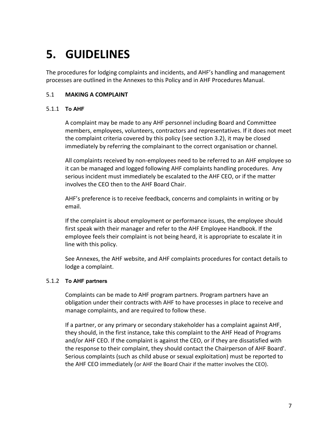### **5. GUIDELINES**

The procedures for lodging complaints and incidents, and AHF's handling and management processes are outlined in the Annexes to this Policy and in AHF Procedures Manual.

#### 5.1 **MAKING A COMPLAINT**

#### 5.1.1 **To AHF**

A complaint may be made to any AHF personnel including Board and Committee members, employees, volunteers, contractors and representatives. If it does not meet the complaint criteria covered by this policy (see section 3.2), it may be closed immediately by referring the complainant to the correct organisation or channel.

All complaints received by non-employees need to be referred to an AHF employee so it can be managed and logged following AHF complaints handling procedures. Any serious incident must immediately be escalated to the AHF CEO, or if the matter involves the CEO then to the AHF Board Chair.

AHF's preference is to receive feedback, concerns and complaints in writing or by email.

If the complaint is about employment or performance issues, the employee should first speak with their manager and refer to the AHF Employee Handbook. If the employee feels their complaint is not being heard, it is appropriate to escalate it in line with this policy.

See Annexes, the AHF website, and AHF complaints procedures for contact details to lodge a complaint.

#### 5.1.2 **To AHF partners**

Complaints can be made to AHF program partners. Program partners have an obligation under their contracts with AHF to have processes in place to receive and manage complaints, and are required to follow these.

If a partner, or any primary or secondary stakeholder has a complaint against AHF, they should, in the first instance, take this complaint to the AHF Head of Programs and/or AHF CEO. If the complaint is against the CEO, or if they are dissatisfied with the response to their complaint, they should contact the Chairperson of AHF Board'. Serious complaints (such as child abuse or sexual exploitation) must be reported to the AHF CEO immediately (or AHF the Board Chair if the matter involves the CEO).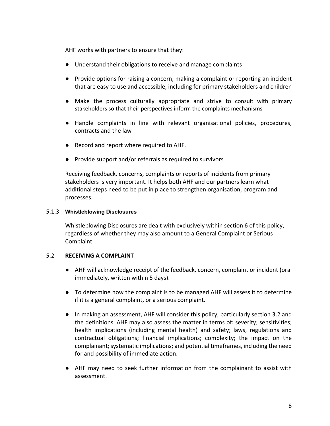AHF works with partners to ensure that they:

- Understand their obligations to receive and manage complaints
- Provide options for raising a concern, making a complaint or reporting an incident that are easy to use and accessible, including for primary stakeholders and children
- Make the process culturally appropriate and strive to consult with primary stakeholders so that their perspectives inform the complaints mechanisms
- Handle complaints in line with relevant organisational policies, procedures, contracts and the law
- Record and report where required to AHF.
- Provide support and/or referrals as required to survivors

Receiving feedback, concerns, complaints or reports of incidents from primary stakeholders is very important. It helps both AHF and our partners learn what additional steps need to be put in place to strengthen organisation, program and processes.

#### 5.1.3 **Whistleblowing Disclosures**

Whistleblowing Disclosures are dealt with exclusively within section 6 of this policy, regardless of whether they may also amount to a General Complaint or Serious Complaint.

#### 5.2 **RECEIVING A COMPLAINT**

- AHF will acknowledge receipt of the feedback, concern, complaint or incident (oral immediately, written within 5 days).
- To determine how the complaint is to be managed AHF will assess it to determine if it is a general complaint, or a serious complaint.
- In making an assessment, AHF will consider this policy, particularly section 3.2 and the definitions. AHF may also assess the matter in terms of: severity; sensitivities; health implications (including mental health) and safety; laws, regulations and contractual obligations; financial implications; complexity; the impact on the complainant; systematic implications; and potential timeframes, including the need for and possibility of immediate action.
- AHF may need to seek further information from the complainant to assist with assessment.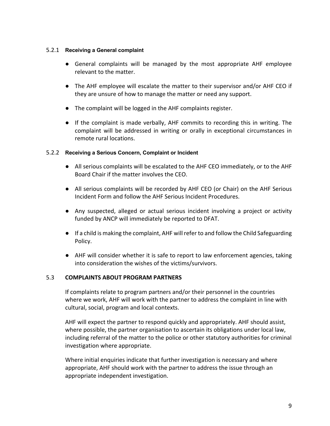#### 5.2.1 **Receiving a General complaint**

- General complaints will be managed by the most appropriate AHF employee relevant to the matter.
- The AHF employee will escalate the matter to their supervisor and/or AHF CEO if they are unsure of how to manage the matter or need any support.
- The complaint will be logged in the AHF complaints register.
- If the complaint is made verbally, AHF commits to recording this in writing. The complaint will be addressed in writing or orally in exceptional circumstances in remote rural locations.

#### 5.2.2 **Receiving a Serious Concern, Complaint or Incident**

- All serious complaints will be escalated to the AHF CEO immediately, or to the AHF Board Chair if the matter involves the CEO.
- All serious complaints will be recorded by AHF CEO (or Chair) on the AHF Serious Incident Form and follow the AHF Serious Incident Procedures.
- Any suspected, alleged or actual serious incident involving a project or activity funded by ANCP will immediately be reported to DFAT.
- If a child is making the complaint, AHF will refer to and follow the Child Safeguarding Policy.
- AHF will consider whether it is safe to report to law enforcement agencies, taking into consideration the wishes of the victims/survivors.

#### 5.3 **COMPLAINTS ABOUT PROGRAM PARTNERS**

If complaints relate to program partners and/or their personnel in the countries where we work, AHF will work with the partner to address the complaint in line with cultural, social, program and local contexts.

AHF will expect the partner to respond quickly and appropriately. AHF should assist, where possible, the partner organisation to ascertain its obligations under local law, including referral of the matter to the police or other statutory authorities for criminal investigation where appropriate.

Where initial enquiries indicate that further investigation is necessary and where appropriate, AHF should work with the partner to address the issue through an appropriate independent investigation.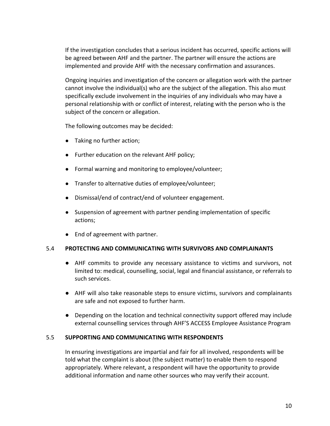If the investigation concludes that a serious incident has occurred, specific actions will be agreed between AHF and the partner. The partner will ensure the actions are implemented and provide AHF with the necessary confirmation and assurances.

Ongoing inquiries and investigation of the concern or allegation work with the partner cannot involve the individual(s) who are the subject of the allegation. This also must specifically exclude involvement in the inquiries of any individuals who may have a personal relationship with or conflict of interest, relating with the person who is the subject of the concern or allegation.

The following outcomes may be decided:

- Taking no further action;
- Further education on the relevant AHF policy;
- Formal warning and monitoring to employee/volunteer;
- Transfer to alternative duties of employee/volunteer;
- Dismissal/end of contract/end of volunteer engagement.
- Suspension of agreement with partner pending implementation of specific actions;
- End of agreement with partner.

#### 5.4 **PROTECTING AND COMMUNICATING WITH SURVIVORS AND COMPLAINANTS**

- AHF commits to provide any necessary assistance to victims and survivors, not limited to: medical, counselling, social, legal and financial assistance, or referrals to such services.
- AHF will also take reasonable steps to ensure victims, survivors and complainants are safe and not exposed to further harm.
- Depending on the location and technical connectivity support offered may include external counselling services through AHF'S ACCESS Employee Assistance Program

#### 5.5 **SUPPORTING AND COMMUNICATING WITH RESPONDENTS**

In ensuring investigations are impartial and fair for all involved, respondents will be told what the complaint is about (the subject matter) to enable them to respond appropriately. Where relevant, a respondent will have the opportunity to provide additional information and name other sources who may verify their account.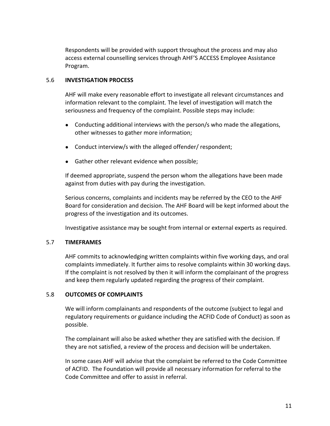Respondents will be provided with support throughout the process and may also access external counselling services through AHF'S ACCESS Employee Assistance Program.

#### 5.6 **INVESTIGATION PROCESS**

AHF will make every reasonable effort to investigate all relevant circumstances and information relevant to the complaint. The level of investigation will match the seriousness and frequency of the complaint. Possible steps may include:

- Conducting additional interviews with the person/s who made the allegations, other witnesses to gather more information;
- Conduct interview/s with the alleged offender/ respondent;
- Gather other relevant evidence when possible;

If deemed appropriate, suspend the person whom the allegations have been made against from duties with pay during the investigation.

Serious concerns, complaints and incidents may be referred by the CEO to the AHF Board for consideration and decision. The AHF Board will be kept informed about the progress of the investigation and its outcomes.

Investigative assistance may be sought from internal or external experts as required.

#### 5.7 **TIMEFRAMES**

AHF commits to acknowledging written complaints within five working days, and oral complaints immediately. It further aims to resolve complaints within 30 working days. If the complaint is not resolved by then it will inform the complainant of the progress and keep them regularly updated regarding the progress of their complaint.

#### 5.8 **OUTCOMES OF COMPLAINTS**

We will inform complainants and respondents of the outcome (subject to legal and regulatory requirements or guidance including the ACFID Code of Conduct) as soon as possible.

The complainant will also be asked whether they are satisfied with the decision. If they are not satisfied, a review of the process and decision will be undertaken.

In some cases AHF will advise that the complaint be referred to the Code Committee of ACFID. The Foundation will provide all necessary information for referral to the Code Committee and offer to assist in referral.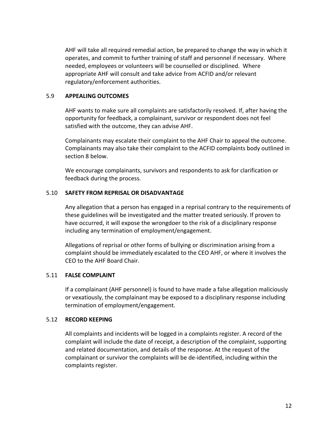AHF will take all required remedial action, be prepared to change the way in which it operates, and commit to further training of staff and personnel if necessary. Where needed, employees or volunteers will be counselled or disciplined. Where appropriate AHF will consult and take advice from ACFID and/or relevant regulatory/enforcement authorities.

#### 5.9 **APPEALING OUTCOMES**

AHF wants to make sure all complaints are satisfactorily resolved. If, after having the opportunity for feedback, a complainant, survivor or respondent does not feel satisfied with the outcome, they can advise AHF.

Complainants may escalate their complaint to the AHF Chair to appeal the outcome. Complainants may also take their complaint to the ACFID complaints body outlined in section 8 below.

We encourage complainants, survivors and respondents to ask for clarification or feedback during the process.

#### 5.10 **SAFETY FROM REPRISAL OR DISADVANTAGE**

Any allegation that a person has engaged in a reprisal contrary to the requirements of these guidelines will be investigated and the matter treated seriously. If proven to have occurred, it will expose the wrongdoer to the risk of a disciplinary response including any termination of employment/engagement.

Allegations of reprisal or other forms of bullying or discrimination arising from a complaint should be immediately escalated to the CEO AHF, or where it involves the CEO to the AHF Board Chair.

#### 5.11 **FALSE COMPLAINT**

If a complainant (AHF personnel) is found to have made a false allegation maliciously or vexatiously, the complainant may be exposed to a disciplinary response including termination of employment/engagement.

#### 5.12 **RECORD KEEPING**

All complaints and incidents will be logged in a complaints register. A record of the complaint will include the date of receipt, a description of the complaint, supporting and related documentation, and details of the response. At the request of the complainant or survivor the complaints will be de-identified, including within the complaints register.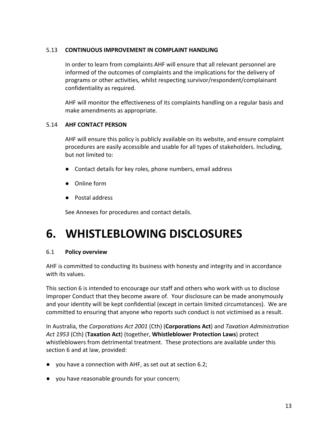#### 5.13 **CONTINUOUS IMPROVEMENT IN COMPLAINT HANDLING**

In order to learn from complaints AHF will ensure that all relevant personnel are informed of the outcomes of complaints and the implications for the delivery of programs or other activities, whilst respecting survivor/respondent/complainant confidentiality as required.

AHF will monitor the effectiveness of its complaints handling on a regular basis and make amendments as appropriate.

#### 5.14 **AHF CONTACT PERSON**

AHF will ensure this policy is publicly available on its website, and ensure complaint procedures are easily accessible and usable for all types of stakeholders. Including, but not limited to:

- Contact details for key roles, phone numbers, email address
- Online form
- Postal address

See Annexes for procedures and contact details.

### **6. WHISTLEBLOWING DISCLOSURES**

#### 6.1 **Policy overview**

AHF is committed to conducting its business with honesty and integrity and in accordance with its values.

This section 6 is intended to encourage our staff and others who work with us to disclose Improper Conduct that they become aware of. Your disclosure can be made anonymously and your identity will be kept confidential (except in certain limited circumstances). We are committed to ensuring that anyone who reports such conduct is not victimised as a result.

In Australia, the *Corporations Act 2001* (Cth) (**Corporations Act**) and *Taxation Administration Act 1953* (Cth) (**Taxation Act**) (together, **Whistleblower Protection Laws**) protect whistleblowers from detrimental treatment. These protections are available under this section 6 and at law, provided:

- you have a connection with AHF, as set out at section 6.2;
- you have reasonable grounds for your concern;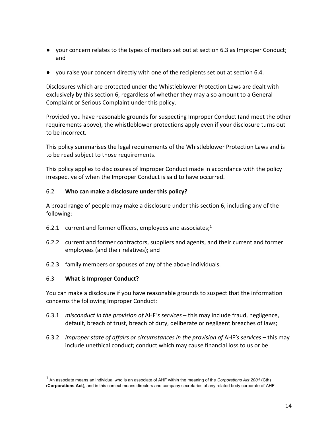- your concern relates to the types of matters set out at section 6.3 as Improper Conduct; and
- you raise your concern directly with one of the recipients set out at section 6.4.

Disclosures which are protected under the Whistleblower Protection Laws are dealt with exclusively by this section 6, regardless of whether they may also amount to a General Complaint or Serious Complaint under this policy.

Provided you have reasonable grounds for suspecting Improper Conduct (and meet the other requirements above), the whistleblower protections apply even if your disclosure turns out to be incorrect.

This policy summarises the legal requirements of the Whistleblower Protection Laws and is to be read subject to those requirements.

This policy applies to disclosures of Improper Conduct made in accordance with the policy irrespective of when the Improper Conduct is said to have occurred.

#### 6.2 **Who can make a disclosure under this policy?**

A broad range of people may make a disclosure under this section 6, including any of the following:

- 6.2.1 current and former officers, employees and associates; $1$
- 6.2.2 current and former contractors, suppliers and agents, and their current and former employees (and their relatives); and
- 6.2.3 family members or spouses of any of the above individuals.

#### 6.3 **What is Improper Conduct?**

You can make a disclosure if you have reasonable grounds to suspect that the information concerns the following Improper Conduct:

- 6.3.1 *misconduct in the provision of* AHF*'s services* this may include fraud, negligence, default, breach of trust, breach of duty, deliberate or negligent breaches of laws;
- 6.3.2 *improper state of affairs or circumstances in the provision of* AHF*'s services* this may include unethical conduct; conduct which may cause financial loss to us or be

<sup>1</sup> An associate means an individual who is an associate of AHF within the meaning of the *Corporations Act 2001* (Cth) (**Corporations Act**), and in this context means directors and company secretaries of any related body corporate of AHF.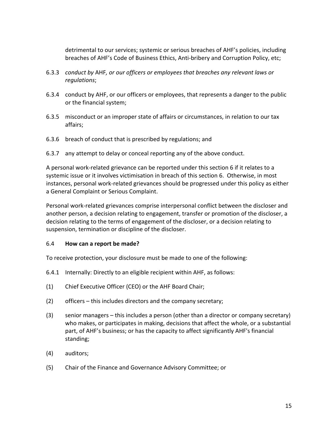detrimental to our services; systemic or serious breaches of AHF's policies, including breaches of AHF's Code of Business Ethics, Anti-bribery and Corruption Policy, etc;

- 6.3.3 *conduct by* AHF*, or our officers or employees that breaches any relevant laws or regulations*;
- 6.3.4 conduct by AHF, or our officers or employees, that represents a danger to the public or the financial system;
- 6.3.5 misconduct or an improper state of affairs or circumstances, in relation to our tax affairs;
- 6.3.6 breach of conduct that is prescribed by regulations; and
- 6.3.7 any attempt to delay or conceal reporting any of the above conduct.

A personal work-related grievance can be reported under this section 6 if it relates to a systemic issue or it involves victimisation in breach of this section 6. Otherwise, in most instances, personal work-related grievances should be progressed under this policy as either a General Complaint or Serious Complaint.

Personal work-related grievances comprise interpersonal conflict between the discloser and another person, a decision relating to engagement, transfer or promotion of the discloser, a decision relating to the terms of engagement of the discloser, or a decision relating to suspension, termination or discipline of the discloser.

#### 6.4 **How can a report be made?**

To receive protection, your disclosure must be made to one of the following:

- 6.4.1 Internally: Directly to an eligible recipient within AHF, as follows:
- (1) Chief Executive Officer (CEO) or the AHF Board Chair;
- (2) officers this includes directors and the company secretary;
- (3) senior managers this includes a person (other than a director or company secretary) who makes, or participates in making, decisions that affect the whole, or a substantial part, of AHF's business; or has the capacity to affect significantly AHF's financial standing;
- (4) auditors;
- (5) Chair of the Finance and Governance Advisory Committee; or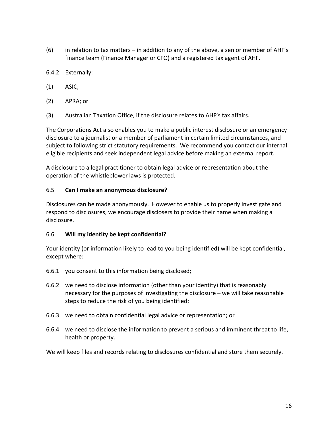- (6) in relation to tax matters in addition to any of the above, a senior member of AHF's finance team (Finance Manager or CFO) and a registered tax agent of AHF.
- 6.4.2 Externally:
- (1) ASIC;
- (2) APRA; or
- (3) Australian Taxation Office, if the disclosure relates to AHF's tax affairs.

The Corporations Act also enables you to make a public interest disclosure or an emergency disclosure to a journalist or a member of parliament in certain limited circumstances, and subject to following strict statutory requirements. We recommend you contact our internal eligible recipients and seek independent legal advice before making an external report.

A disclosure to a legal practitioner to obtain legal advice or representation about the operation of the whistleblower laws is protected.

#### 6.5 **Can I make an anonymous disclosure?**

Disclosures can be made anonymously. However to enable us to properly investigate and respond to disclosures, we encourage disclosers to provide their name when making a disclosure.

#### 6.6 **Will my identity be kept confidential?**

Your identity (or information likely to lead to you being identified) will be kept confidential, except where:

- 6.6.1 you consent to this information being disclosed;
- 6.6.2 we need to disclose information (other than your identity) that is reasonably necessary for the purposes of investigating the disclosure – we will take reasonable steps to reduce the risk of you being identified;
- 6.6.3 we need to obtain confidential legal advice or representation; or
- 6.6.4 we need to disclose the information to prevent a serious and imminent threat to life, health or property.

We will keep files and records relating to disclosures confidential and store them securely.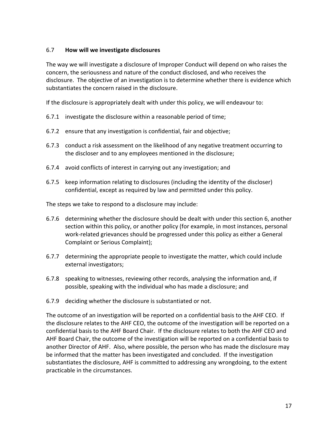#### 6.7 **How will we investigate disclosures**

The way we will investigate a disclosure of Improper Conduct will depend on who raises the concern, the seriousness and nature of the conduct disclosed, and who receives the disclosure. The objective of an investigation is to determine whether there is evidence which substantiates the concern raised in the disclosure.

If the disclosure is appropriately dealt with under this policy, we will endeavour to:

- 6.7.1 investigate the disclosure within a reasonable period of time;
- 6.7.2 ensure that any investigation is confidential, fair and objective;
- 6.7.3 conduct a risk assessment on the likelihood of any negative treatment occurring to the discloser and to any employees mentioned in the disclosure;
- 6.7.4 avoid conflicts of interest in carrying out any investigation; and
- 6.7.5 keep information relating to disclosures (including the identity of the discloser) confidential, except as required by law and permitted under this policy.

The steps we take to respond to a disclosure may include:

- 6.7.6 determining whether the disclosure should be dealt with under this section 6, another section within this policy, or another policy (for example, in most instances, personal work-related grievances should be progressed under this policy as either a General Complaint or Serious Complaint);
- 6.7.7 determining the appropriate people to investigate the matter, which could include external investigators;
- 6.7.8 speaking to witnesses, reviewing other records, analysing the information and, if possible, speaking with the individual who has made a disclosure; and
- 6.7.9 deciding whether the disclosure is substantiated or not.

The outcome of an investigation will be reported on a confidential basis to the AHF CEO. If the disclosure relates to the AHF CEO, the outcome of the investigation will be reported on a confidential basis to the AHF Board Chair. If the disclosure relates to both the AHF CEO and AHF Board Chair, the outcome of the investigation will be reported on a confidential basis to another Director of AHF. Also, where possible, the person who has made the disclosure may be informed that the matter has been investigated and concluded. If the investigation substantiates the disclosure, AHF is committed to addressing any wrongdoing, to the extent practicable in the circumstances.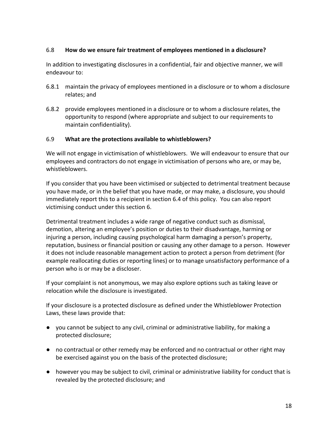#### 6.8 **How do we ensure fair treatment of employees mentioned in a disclosure?**

In addition to investigating disclosures in a confidential, fair and objective manner, we will endeavour to:

- 6.8.1 maintain the privacy of employees mentioned in a disclosure or to whom a disclosure relates; and
- 6.8.2 provide employees mentioned in a disclosure or to whom a disclosure relates, the opportunity to respond (where appropriate and subject to our requirements to maintain confidentiality).

#### 6.9 **What are the protections available to whistleblowers?**

We will not engage in victimisation of whistleblowers. We will endeavour to ensure that our employees and contractors do not engage in victimisation of persons who are, or may be, whistleblowers.

If you consider that you have been victimised or subjected to detrimental treatment because you have made, or in the belief that you have made, or may make, a disclosure, you should immediately report this to a recipient in section 6.4 of this policy. You can also report victimising conduct under this section 6.

Detrimental treatment includes a wide range of negative conduct such as dismissal, demotion, altering an employee's position or duties to their disadvantage, harming or injuring a person, including causing psychological harm damaging a person's property, reputation, business or financial position or causing any other damage to a person. However it does not include reasonable management action to protect a person from detriment (for example reallocating duties or reporting lines) or to manage unsatisfactory performance of a person who is or may be a discloser.

If your complaint is not anonymous, we may also explore options such as taking leave or relocation while the disclosure is investigated.

If your disclosure is a protected disclosure as defined under the Whistleblower Protection Laws, these laws provide that:

- you cannot be subject to any civil, criminal or administrative liability, for making a protected disclosure;
- no contractual or other remedy may be enforced and no contractual or other right may be exercised against you on the basis of the protected disclosure;
- however you may be subject to civil, criminal or administrative liability for conduct that is revealed by the protected disclosure; and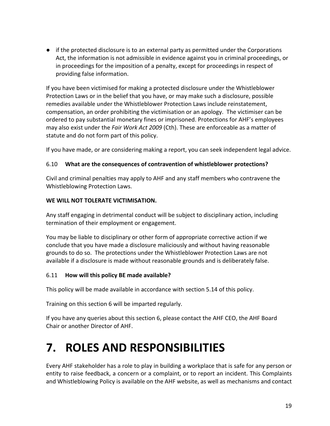● if the protected disclosure is to an external party as permitted under the Corporations Act, the information is not admissible in evidence against you in criminal proceedings, or in proceedings for the imposition of a penalty, except for proceedings in respect of providing false information.

If you have been victimised for making a protected disclosure under the Whistleblower Protection Laws or in the belief that you have, or may make such a disclosure, possible remedies available under the Whistleblower Protection Laws include reinstatement, compensation, an order prohibiting the victimisation or an apology. The victimiser can be ordered to pay substantial monetary fines or imprisoned. Protections for AHF's employees may also exist under the *Fair Work Act 2009* (Cth). These are enforceable as a matter of statute and do not form part of this policy.

If you have made, or are considering making a report, you can seek independent legal advice.

#### 6.10 **What are the consequences of contravention of whistleblower protections?**

Civil and criminal penalties may apply to AHF and any staff members who contravene the Whistleblowing Protection Laws.

#### **WE WILL NOT TOLERATE VICTIMISATION.**

Any staff engaging in detrimental conduct will be subject to disciplinary action, including termination of their employment or engagement.

You may be liable to disciplinary or other form of appropriate corrective action if we conclude that you have made a disclosure maliciously and without having reasonable grounds to do so. The protections under the Whistleblower Protection Laws are not available if a disclosure is made without reasonable grounds and is deliberately false.

#### 6.11 **How will this policy BE made available?**

This policy will be made available in accordance with section 5.14 of this policy.

Training on this section 6 will be imparted regularly.

If you have any queries about this section 6, please contact the AHF CEO, the AHF Board Chair or another Director of AHF.

### **7. ROLES AND RESPONSIBILITIES**

Every AHF stakeholder has a role to play in building a workplace that is safe for any person or entity to raise feedback, a concern or a complaint, or to report an incident. This Complaints and Whistleblowing Policy is available on the AHF website, as well as mechanisms and contact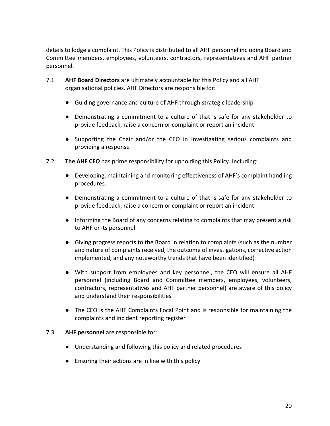details to lodge a complaint. This Policy is distributed to all AHF personnel including Board and Committee members, employees, volunteers, contractors, representatives and AHF partner personnel.

- 7.1 **AHF Board Directors** are ultimately accountable for this Policy and all AHF organisational policies. AHF Directors are responsible for:
	- Guiding governance and culture of AHF through strategic leadership
	- Demonstrating a commitment to a culture of that is safe for any stakeholder to provide feedback, raise a concern or complaint or report an incident
	- Supporting the Chair and/or the CEO in Investigating serious complaints and providing a response
- 7.2 **The AHF CEO** has prime responsibility for upholding this Policy. Including:
	- Developing, maintaining and monitoring effectiveness of AHF's complaint handling procedures.
	- Demonstrating a commitment to a culture of that is safe for any stakeholder to provide feedback, raise a concern or complaint or report an incident
	- Informing the Board of any concerns relating to complaints that may present a risk to AHF or its personnel
	- Giving progress reports to the Board in relation to complaints (such as the number and nature of complaints received, the outcome of investigations, corrective action implemented, and any noteworthy trends that have been identified)
	- With support from employees and key personnel, the CEO will ensure all AHF personnel (including Board and Committee members, employees, volunteers, contractors, representatives and AHF partner personnel) are aware of this policy and understand their responsibilities
	- The CEO is the AHF Complaints Focal Point and is responsible for maintaining the complaints and incident reporting register

#### 7.3 **AHF personnel** are responsible for:

- Understanding and following this policy and related procedures
- Ensuring their actions are in line with this policy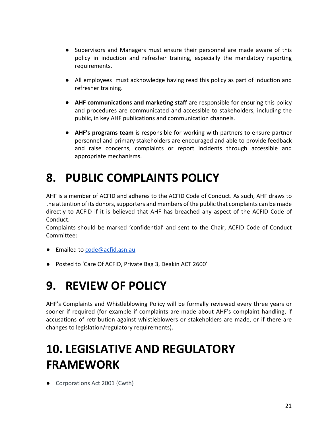- Supervisors and Managers must ensure their personnel are made aware of this policy in induction and refresher training, especially the mandatory reporting requirements.
- All employees must acknowledge having read this policy as part of induction and refresher training.
- **AHF communications and marketing staff** are responsible for ensuring this policy and procedures are communicated and accessible to stakeholders, including the public, in key AHF publications and communication channels.
- **AHF's programs team** is responsible for working with partners to ensure partner personnel and primary stakeholders are encouraged and able to provide feedback and raise concerns, complaints or report incidents through accessible and appropriate mechanisms.

## **8. PUBLIC COMPLAINTS POLICY**

AHF is a member of ACFID and adheres to the ACFID Code of Conduct. As such, AHF draws to the attention of its donors, supporters and members of the public that complaints can be made directly to ACFID if it is believed that AHF has breached any aspect of the ACFID Code of Conduct.

Complaints should be marked 'confidential' and sent to the Chair, ACFID Code of Conduct Committee:

- Emailed to code@acfid.asn.au
- Posted to 'Care Of ACFID, Private Bag 3, Deakin ACT 2600'

### **9. REVIEW OF POLICY**

AHF's Complaints and Whistleblowing Policy will be formally reviewed every three years or sooner if required (for example if complaints are made about AHF's complaint handling, if accusations of retribution against whistleblowers or stakeholders are made, or if there are changes to legislation/regulatory requirements).

### **10. LEGISLATIVE AND REGULATORY FRAMEWORK**

● Corporations Act 2001 (Cwth)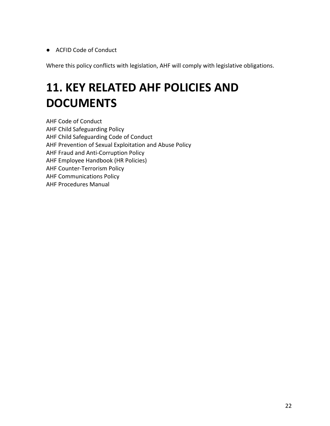● ACFID Code of Conduct

Where this policy conflicts with legislation, AHF will comply with legislative obligations.

## **11. KEY RELATED AHF POLICIES AND DOCUMENTS**

AHF Code of Conduct AHF Child Safeguarding Policy AHF Child Safeguarding Code of Conduct AHF Prevention of Sexual Exploitation and Abuse Policy AHF Fraud and Anti-Corruption Policy AHF Employee Handbook (HR Policies) AHF Counter-Terrorism Policy AHF Communications Policy AHF Procedures Manual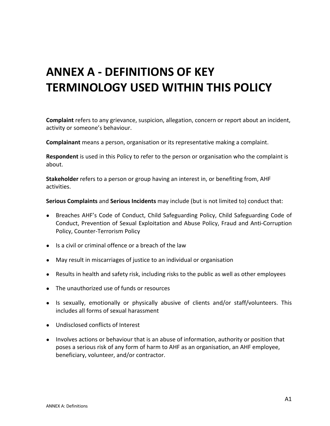### **ANNEX A - DEFINITIONS OF KEY TERMINOLOGY USED WITHIN THIS POLICY**

**Complaint** refers to any grievance, suspicion, allegation, concern or report about an incident, activity or someone's behaviour.

**Complainant** means a person, organisation or its representative making a complaint.

**Respondent** is used in this Policy to refer to the person or organisation who the complaint is about.

**Stakeholder** refers to a person or group having an interest in, or benefiting from, AHF activities.

**Serious Complaints** and **Serious Incidents** may include (but is not limited to) conduct that:

- Breaches AHF's Code of Conduct, Child Safeguarding Policy, Child Safeguarding Code of Conduct, Prevention of Sexual Exploitation and Abuse Policy, Fraud and Anti-Corruption Policy, Counter-Terrorism Policy
- Is a civil or criminal offence or a breach of the law
- May result in miscarriages of justice to an individual or organisation
- Results in health and safety risk, including risks to the public as well as other employees
- The unauthorized use of funds or resources
- Is sexually, emotionally or physically abusive of clients and/or staff/volunteers. This includes all forms of sexual harassment
- Undisclosed conflicts of Interest
- Involves actions or behaviour that is an abuse of information, authority or position that poses a serious risk of any form of harm to AHF as an organisation, an AHF employee, beneficiary, volunteer, and/or contractor.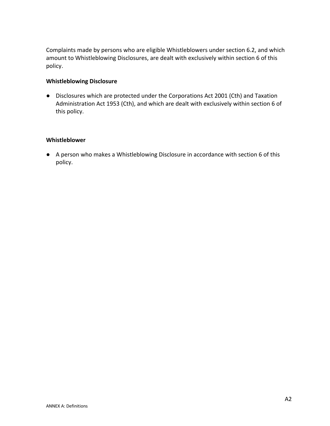Complaints made by persons who are eligible Whistleblowers under section 6.2, and which amount to Whistleblowing Disclosures, are dealt with exclusively within section 6 of this policy.

#### **Whistleblowing Disclosure**

● Disclosures which are protected under the Corporations Act 2001 (Cth) and Taxation Administration Act 1953 (Cth), and which are dealt with exclusively within section 6 of this policy.

#### **Whistleblower**

● A person who makes a Whistleblowing Disclosure in accordance with section 6 of this policy.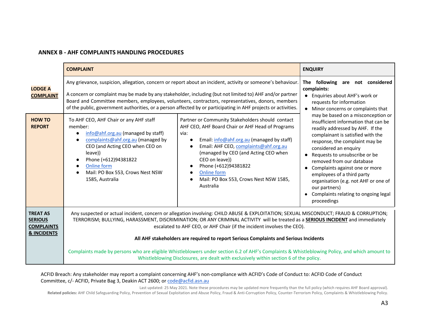#### **ANNEX B - AHF COMPLAINTS HANDLING PROCEDURES**

|                                                                                  | <b>COMPLAINT</b>                                                                                                                                                                                                                                                                                                                                                                                                                                                                                                                                                                                                                                                                           | <b>ENQUIRY</b>                                                                                                                                                                                                                                                                                                                                                                                                                                                            |
|----------------------------------------------------------------------------------|--------------------------------------------------------------------------------------------------------------------------------------------------------------------------------------------------------------------------------------------------------------------------------------------------------------------------------------------------------------------------------------------------------------------------------------------------------------------------------------------------------------------------------------------------------------------------------------------------------------------------------------------------------------------------------------------|---------------------------------------------------------------------------------------------------------------------------------------------------------------------------------------------------------------------------------------------------------------------------------------------------------------------------------------------------------------------------------------------------------------------------------------------------------------------------|
| <b>LODGE A</b><br><b>COMPLAINT</b>                                               | Any grievance, suspicion, allegation, concern or report about an incident, activity or someone's behaviour.<br>A concern or complaint may be made by any stakeholder, including (but not limited to) AHF and/or partner<br>Board and Committee members, employees, volunteers, contractors, representatives, donors, members<br>of the public, government authorities, or a person affected by or participating in AHF projects or activities.                                                                                                                                                                                                                                             | following are not considered<br>The<br>complaints:<br>Enquiries about AHF's work or<br>requests for information<br>Minor concerns or complaints that                                                                                                                                                                                                                                                                                                                      |
| <b>HOW TO</b><br><b>REPORT</b>                                                   | Partner or Community Stakeholders should contact<br>To AHF CEO, AHF Chair or any AHF staff<br>AHF CEO, AHF Board Chair or AHF Head of Programs<br>member:<br>info@ahf.org.au (managed by staff)<br>via:<br>$\bullet$<br>complaints@ahf.org.au (managed by<br>Email: info@ahf.org.au (managed by staff)<br>$\bullet$<br>CEO (and Acting CEO when CEO on<br>Email: AHF CEO, complaints@ahf.org.au<br>$\bullet$<br>(managed by CEO (and Acting CEO when<br>leave))<br>CEO on leave))<br>Phone (+612)94381822<br>Online form<br>Phone (+612)94381822<br>$\bullet$<br>Online form<br>Mail: PO Box 553, Crows Nest NSW<br>1585, Australia<br>Mail: PO Box 553, Crows Nest NSW 1585,<br>Australia | may be based on a misconception or<br>insufficient information that can be<br>readily addressed by AHF. If the<br>complainant is satisfied with the<br>response, the complaint may be<br>considered an enquiry<br>Requests to unsubscribe or be<br>removed from our database<br>Complaints against one or more<br>$\bullet$<br>employees of a third party<br>organisation (e.g. not AHF or one of<br>our partners)<br>Complaints relating to ongoing legal<br>proceedings |
| <b>TREAT AS</b><br><b>SERIOUS</b><br><b>COMPLAINTS</b><br><b>&amp; INCIDENTS</b> | Any suspected or actual incident, concern or allegation involving: CHILD ABUSE & EXPLOITATION; SEXUAL MISCONDUCT; FRAUD & CORRUPTION;<br>TERRORISM; BULLYING, HARASSMENT, DISCRIMINATION; OR ANY CRIMINAL ACTIVITY will be treated as a SERIOUS INCIDENT and immediately<br>escalated to AHF CEO, or AHF Chair (if the incident involves the CEO).<br>All AHF stakeholders are required to report Serious Complaints and Serious Incidents                                                                                                                                                                                                                                                 |                                                                                                                                                                                                                                                                                                                                                                                                                                                                           |
|                                                                                  | Complaints made by persons who are eligible Whistleblowers under section 6.2 of AHF's Complaints & Whistleblowing Policy, and which amount to<br>Whistleblowing Disclosures, are dealt with exclusively within section 6 of the policy.                                                                                                                                                                                                                                                                                                                                                                                                                                                    |                                                                                                                                                                                                                                                                                                                                                                                                                                                                           |

#### ACFID Breach: Any stakeholder may report a complaint concerning AHF's non-compliance with ACFID's Code of Conduct to: ACFID Code of Conduct Committee, c/- ACFID, Private Bag 3, Deakin ACT 2600; or code@acfid.asn.au

Last updated: 25 May 2021. Note these procedures may be updated more frequently than the full policy (which requires AHF Board approval). Related policies: AHF Child Safeguarding Policy, Prevention of Sexual Exploitation and Abuse Policy, Fraud & Anti-Corruption Policy, Counter-Terrorism Policy, Complaints & Whistleblowing Policy.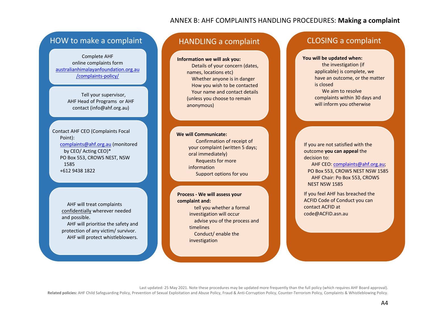#### ANNEX B: AHF COMPLAINTS HANDLING PROCEDURES: **Making a complaint**

### HOW to make a complaint HANDLING a complaint CLOSING a complaint

Complete AHF online complaints form australianhimalayanfoundation.org.au /complaints-policy/

> Tell your supervisor, AHF Head of Programs or AHF contact (info@ahf.org.au)

Contact AHF CEO (Complaints Focal Point): complaints@ahf.org.au (monitored by CEO/ Acting CEO)\* PO Box 553, CROWS NEST, NSW 1585 +612 9438 1822

> AHF will treat complaints confidentially wherever needed and possible.

AHF will prioritise the safety and protection of any victim/ survivor. AHF will protect whistleblowers.

**Information we will ask you:** Details of your concern (dates, names, locations etc) Whether anyone is in danger How you wish to be contacted Your name and contact details (unless you choose to remain anonymous)

**We will Communicate:** Confirmation of receipt of your complaint (written 5 days; oral immediately) Requests for more information Support options for you

**Process - We will assess your complaint and:** tell you whether a formal investigation will occur advise you of the process and timelines Conduct/ enable the investigation

**You will be updated when:**

the investigation (if applicable) is complete, we have an outcome, or the matter is closed We aim to resolve complaints within 30 days and will inform you otherwise

If you are not satisfied with the outcome **you can appeal** the decision to: AHF CEO: complaints@ahf.org.au;

PO Box 553, CROWS NEST NSW 1585 AHF Chair: Po Box 553, CROWS NEST NSW 1585

If you feel AHF has breached the ACFID Code of Conduct you can contact ACFID at code@ACFID.asn.au

Last updated: 25 May 2021. Note these procedures may be updated more frequently than the full policy (which requires AHF Board approval). Related policies: AHF Child Safeguarding Policy, Prevention of Sexual Exploitation and Abuse Policy, Fraud & Anti-Corruption Policy, Counter-Terrorism Policy, Complaints & Whistleblowing Policy.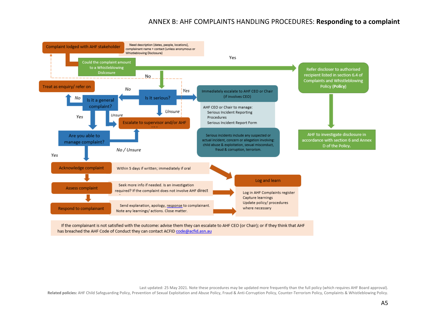#### ANNEX B: AHF COMPLAINTS HANDLING PROCEDURES: **Responding to a complaint**



If the complainant is not satisfied with the outcome: advise them they can escalate to AHF CEO (or Chair); or if they think that AHF has breached the AHF Code of Conduct they can contact ACFID code@acfid.asn.au

Last updated: 25 May 2021. Note these procedures may be updated more frequently than the full policy (which requires AHF Board approval).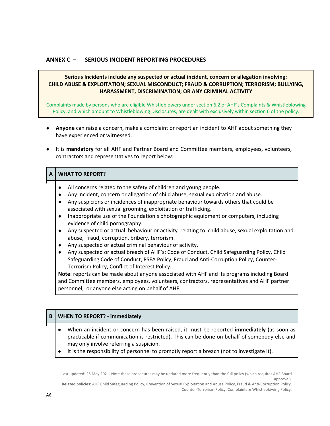#### **ANNEX C – SERIOUS INCIDENT REPORTING PROCEDURES**

#### **Serious Incidents include any suspected or actual incident, concern or allegation involving: CHILD ABUSE & EXPLOITATION; SEXUAL MISCONDUCT; FRAUD & CORRUPTION; TERRORISM; BULLYING, HARASSMENT, DISCRIMINATION; OR ANY CRIMINAL ACTIVITY**

Complaints made by persons who are eligible Whistleblowers under section 6.2 of AHF's Complaints & Whistleblowing Policy, and which amount to Whistleblowing Disclosures, are dealt with exclusively within section 6 of the policy.

- **Anyone** can raise a concern, make a complaint or report an incident to AHF about something they have experienced or witnessed.
- It is **mandatory** for all AHF and Partner Board and Committee members, employees, volunteers, contractors and representatives to report below:

#### **A WHAT TO REPORT?**

- All concerns related to the safety of children and young people.
- Any incident, concern or allegation of child abuse, sexual exploitation and abuse.
- Any suspicions or incidences of inappropriate behaviour towards others that could be associated with sexual grooming, exploitation or trafficking.
- Inappropriate use of the Foundation's photographic equipment or computers, including evidence of child pornography.
- Any suspected or actual behaviour or activity relating to child abuse, sexual exploitation and abuse, fraud, corruption, bribery, terrorism.
- Any suspected or actual criminal behaviour of activity.
- Any suspected or actual breach of AHF's: Code of Conduct, Child Safeguarding Policy, Child Safeguarding Code of Conduct, PSEA Policy, Fraud and Anti-Corruption Policy, Counter-Terrorism Policy, Conflict of Interest Policy.

**Note**: reports can be made about anyone associated with AHF and its programs including Board and Committee members, employees, volunteers, contractors, representatives and AHF partner personnel, or anyone else acting on behalf of AHF.

#### **B WHEN TO REPORT?** - **immediately**

- When an incident or concern has been raised, it must be reported **immediately** (as soon as practicable if communication is restricted). This can be done on behalf of somebody else and may only involve referring a suspicion.
- It is the responsibility of personnel to promptly report a breach (not to investigate it).

Last updated: 25 May 2021. Note these procedures may be updated more frequently than the full policy (which requires AHF Board approval).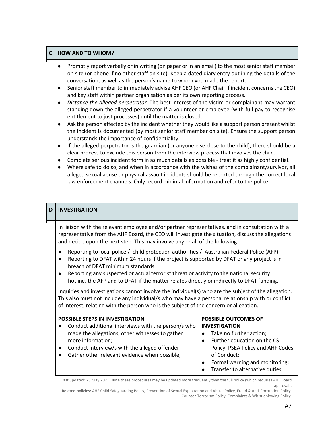#### **C HOW AND TO WHOM?**

- Promptly report verbally or in writing (on paper or in an email) to the most senior staff member on site (or phone if no other staff on site). Keep a dated diary entry outlining the details of the conversation, as well as the person's name to whom you made the report.
- Senior staff member to immediately advise AHF CEO (or AHF Chair if incident concerns the CEO) and key staff within partner organisation as per its own reporting process.
- *Distance the alleged perpetrator.* The best interest of the victim or complainant may warrant standing down the alleged perpetrator if a volunteer or employee (with full pay to recognise entitlement to just processes) until the matter is closed.
- Ask the person affected by the incident whether they would like a support person present whilst the incident is documented (by most senior staff member on site). Ensure the support person understands the importance of confidentiality.
- If the alleged perpetrator is the guardian (or anyone else close to the child), there should be a clear process to exclude this person from the interview process that involves the child.
- Complete serious incident form in as much details as possible treat it as highly confidential.
- Where safe to do so, and when in accordance with the wishes of the complainant/survivor, all alleged sexual abuse or physical assault incidents should be reported through the correct local law enforcement channels. Only record minimal information and refer to the police.

#### **D INVESTIGATION**

In liaison with the relevant employee and/or partner representatives, and in consultation with a representative from the AHF Board, the CEO will investigate the situation, discuss the allegations and decide upon the next step. This may involve any or all of the following:

- Reporting to local police / child protection authorities / Australian Federal Police (AFP);
- Reporting to DFAT within 24 hours if the project is supported by DFAT or any project is in breach of DFAT minimum standards.
- Reporting any suspected or actual terrorist threat or activity to the national security hotline, the AFP and to DFAT if the matter relates directly or indirectly to DFAT funding.

Inquiries and investigations cannot involve the individual(s) who are the subject of the allegation. This also must not include any individual/s who may have a personal relationship with or conflict of interest, relating with the person who is the subject of the concern or allegation.

| <b>POSSIBLE STEPS IN INVESTIGATION</b> |                                                     |           | <b>POSSIBLE OUTCOMES OF</b>       |
|----------------------------------------|-----------------------------------------------------|-----------|-----------------------------------|
|                                        | Conduct additional interviews with the person/s who |           | <b>INVESTIGATION</b>              |
|                                        | made the allegations, other witnesses to gather     | $\bullet$ | Take no further action;           |
|                                        | more information;                                   | $\bullet$ | Further education on the CS       |
|                                        | Conduct interview/s with the alleged offender;      |           | Policy, PSEA Policy and AHF Codes |
|                                        | Gather other relevant evidence when possible;       |           | of Conduct;                       |
|                                        |                                                     |           | Formal warning and monitoring;    |
|                                        |                                                     |           | Transfer to alternative duties;   |

Last updated: 25 May 2021. Note these procedures may be updated more frequently than the full policy (which requires AHF Board approval).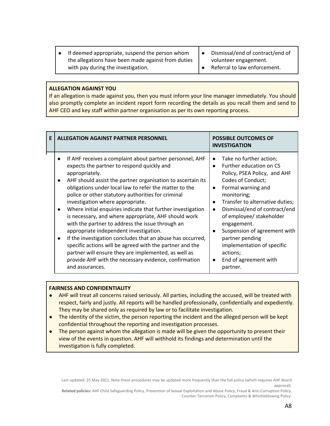- If deemed appropriate, suspend the person whom the allegations have been made against from duties with pay during the investigation.
- Dismissal/end of contract/end of volunteer engagement.
- Referral to law enforcement.

#### **ALLEGATION AGAINST YOU**

If an allegation is made against you, then you must inform your line manager immediately. You should also promptly complete an incident report form recording the details as you recall them and send to AHF CEO and key staff within partner organisation as per its own reporting process.

| E | <b>ALLEGATION AGAINST PARTNER PERSONNEL</b>                                                                                                                                                                                                                                                                                                                                                                                                                                                                                                                                                                                                                                                                                                                                                                                    | <b>POSSIBLE OUTCOMES OF</b><br><b>INVESTIGATION</b>                                                                                                                                                                                                                                                                                                                                                                                               |
|---|--------------------------------------------------------------------------------------------------------------------------------------------------------------------------------------------------------------------------------------------------------------------------------------------------------------------------------------------------------------------------------------------------------------------------------------------------------------------------------------------------------------------------------------------------------------------------------------------------------------------------------------------------------------------------------------------------------------------------------------------------------------------------------------------------------------------------------|---------------------------------------------------------------------------------------------------------------------------------------------------------------------------------------------------------------------------------------------------------------------------------------------------------------------------------------------------------------------------------------------------------------------------------------------------|
|   | If AHF receives a complaint about partner personnel, AHF<br>expects the partner to respond quickly and<br>appropriately.<br>AHF should assist the partner organisation to ascertain its<br>obligations under local law to refer the matter to the<br>police or other statutory authorities for criminal<br>investigation where appropriate.<br>Where initial enquiries indicate that further investigation<br>is necessary, and where appropriate, AHF should work<br>with the partner to address the issue through an<br>appropriate independent investigation.<br>If the investigation concludes that an abuse has occurred,<br>specific actions will be agreed with the partner and the<br>partner will ensure they are implemented, as well as<br>provide AHF with the necessary evidence, confirmation<br>and assurances. | Take no further action;<br>$\bullet$<br>Further education on CS<br>Policy, PSEA Policy, and AHF<br>Codes of Conduct;<br>Formal warning and<br>$\bullet$<br>monitoring;<br>Transfer to alternative duties;<br>$\bullet$<br>Dismissal/end of contract/end<br>of employee/ stakeholder<br>engagement.<br>Suspension of agreement with<br>partner pending<br>implementation of specific<br>actions;<br>End of agreement with<br>$\bullet$<br>partner. |

#### **FAIRNESS AND CONFIDENTIALITY**

- AHF will treat all concerns raised seriously. All parties, including the accused, will be treated with respect, fairly and justly. All reports will be handled professionally, confidentially and expediently. They may be shared only as required by law or to facilitate investigation.
- The identity of the victim, the person reporting the incident and the alleged person will be kept confidential throughout the reporting and investigation processes.
- The person against whom the allegation is made will be given the opportunity to present their view of the events in question. AHF will withhold its findings and determination until the investigation is fully completed.

Last updated: 25 May 2021. Note these procedures may be updated more frequently than the full policy (which requires AHF Board approval).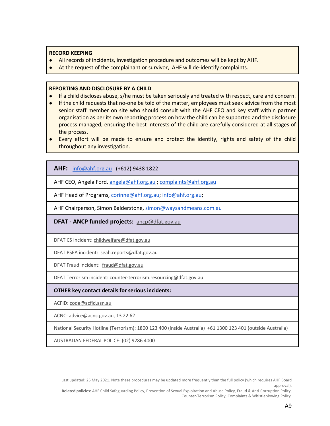#### **RECORD KEEPING**

- All records of incidents, investigation procedure and outcomes will be kept by AHF.
- At the request of the complainant or survivor, AHF will de-identify complaints.

#### **REPORTING AND DISCLOSURE BY A CHILD**

- If a child discloses abuse, s/he must be taken seriously and treated with respect, care and concern.
- If the child requests that no-one be told of the matter, employees must seek advice from the most senior staff member on site who should consult with the AHF CEO and key staff within partner organisation as per its own reporting process on how the child can be supported and the disclosure process managed, ensuring the best interests of the child are carefully considered at all stages of the process.
- Every effort will be made to ensure and protect the identity, rights and safety of the child throughout any investigation.

**AHF:** info@ahf.org.au (+612) 9438 1822

AHF CEO, Angela Ford, angela@ahf.org.au ; complaints@ahf.org.au

AHF Head of Programs, corinne@ahf.org.au; info@ahf.org.au;

AHF Chairperson, Simon Balderstone, simon@waysandmeans.com.au

**DFAT - ANCP funded projects:** ancp@dfat.gov.au

DFAT CS Incident: childwelfare@dfat.gov.au

DFAT PSEA incident: seah.reports@dfat.gov.au

DFAT Fraud incident: fraud@dfat.gov.au

DFAT Terrorism incident: counter-terrorism.resourcing@dfat.gov.au

#### **OTHER key contact details for serious incidents:**

ACFID: code@acfid.asn.au

ACNC: advice@acnc.gov.au, 13 22 62

National Security Hotline (Terrorism): 1800 123 400 (inside Australia) +61 1300 123 401 (outside Australia)

AUSTRALIAN FEDERAL POLICE: (02) 9286 4000

Last updated: 25 May 2021. Note these procedures may be updated more frequently than the full policy (which requires AHF Board approval).

**Related policies:** AHF Child Safeguarding Policy, Prevention of Sexual Exploitation and Abuse Policy, Fraud & Anti-Corruption Policy, Counter-Terrorism Policy, Complaints & Whistleblowing Policy.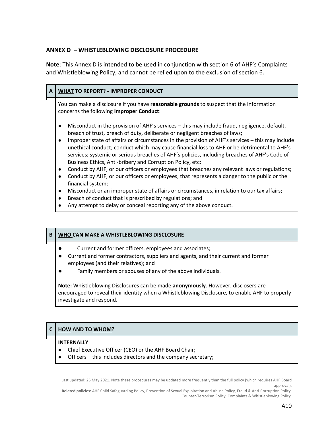#### **ANNEX D – WHISTLEBLOWING DISCLOSURE PROCEDURE**

**Note**: This Annex D is intended to be used in conjunction with section 6 of AHF's Complaints and Whistleblowing Policy, and cannot be relied upon to the exclusion of section 6.

#### **A WHAT TO REPORT? - IMPROPER CONDUCT**

You can make a disclosure if you have **reasonable grounds** to suspect that the information concerns the following **Improper Conduct**:

- Misconduct in the provision of AHF's services this may include fraud, negligence, default, breach of trust, breach of duty, deliberate or negligent breaches of laws;
- Improper state of affairs or circumstances in the provision of AHF's services this may include unethical conduct; conduct which may cause financial loss to AHF or be detrimental to AHF's services; systemic or serious breaches of AHF's policies, including breaches of AHF's Code of Business Ethics, Anti-bribery and Corruption Policy, etc;
- Conduct by AHF, or our officers or employees that breaches any relevant laws or regulations;
- Conduct by AHF, or our officers or employees, that represents a danger to the public or the financial system;
- Misconduct or an improper state of affairs or circumstances, in relation to our tax affairs;
- Breach of conduct that is prescribed by regulations; and
- Any attempt to delay or conceal reporting any of the above conduct.

#### **B WHO CAN MAKE A WHISTLEBLOWING DISCLOSURE**

- **●** Current and former officers, employees and associates;
- **●** Current and former contractors, suppliers and agents, and their current and former employees (and their relatives); and
- **●** Family members or spouses of any of the above individuals.

**Note:** Whistleblowing Disclosures can be made **anonymously**. However, disclosers are encouraged to reveal their identity when a Whistleblowing Disclosure, to enable AHF to properly investigate and respond.

#### **C HOW AND TO WHOM?**

#### **INTERNALLY**

- Chief Executive Officer (CEO) or the AHF Board Chair;
- Officers this includes directors and the company secretary;

Last updated: 25 May 2021. Note these procedures may be updated more frequently than the full policy (which requires AHF Board approval).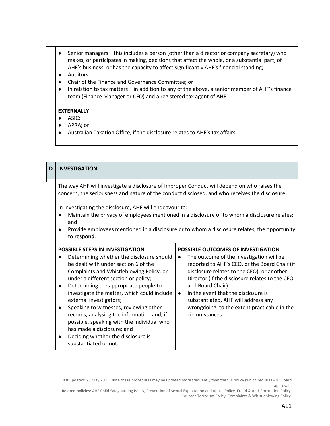- Senior managers this includes a person (other than a director or company secretary) who makes, or participates in making, decisions that affect the whole, or a substantial part, of AHF's business; or has the capacity to affect significantly AHF's financial standing;
- Auditors;
- Chair of the Finance and Governance Committee; or
- In relation to tax matters in addition to any of the above, a senior member of AHF's finance team (Finance Manager or CFO) and a registered tax agent of AHF.

#### **EXTERNALLY**

- ASIC;
- APRA; or
- Australian Taxation Office, if the disclosure relates to AHF's tax affairs.

| D                                                                                                                                                                                                                                                                                                                                                                                                                                                                              | <b>INVESTIGATION</b>                                                                                                                                                                                                                                                                                                                                                                                                                                                                                                                                                  |                                                                                                                                                                                                                                                                                                                                                                                                                                       |
|--------------------------------------------------------------------------------------------------------------------------------------------------------------------------------------------------------------------------------------------------------------------------------------------------------------------------------------------------------------------------------------------------------------------------------------------------------------------------------|-----------------------------------------------------------------------------------------------------------------------------------------------------------------------------------------------------------------------------------------------------------------------------------------------------------------------------------------------------------------------------------------------------------------------------------------------------------------------------------------------------------------------------------------------------------------------|---------------------------------------------------------------------------------------------------------------------------------------------------------------------------------------------------------------------------------------------------------------------------------------------------------------------------------------------------------------------------------------------------------------------------------------|
| The way AHF will investigate a disclosure of Improper Conduct will depend on who raises the<br>concern, the seriousness and nature of the conduct disclosed, and who receives the disclosure.<br>In investigating the disclosure, AHF will endeavour to:<br>Maintain the privacy of employees mentioned in a disclosure or to whom a disclosure relates;<br>and<br>Provide employees mentioned in a disclosure or to whom a disclosure relates, the opportunity<br>to respond. |                                                                                                                                                                                                                                                                                                                                                                                                                                                                                                                                                                       |                                                                                                                                                                                                                                                                                                                                                                                                                                       |
|                                                                                                                                                                                                                                                                                                                                                                                                                                                                                | <b>POSSIBLE STEPS IN INVESTIGATION</b><br>Determining whether the disclosure should<br>be dealt with under section 6 of the<br>Complaints and Whistleblowing Policy, or<br>under a different section or policy;<br>Determining the appropriate people to<br>investigate the matter, which could include<br>external investigators;<br>Speaking to witnesses, reviewing other<br>records, analysing the information and, if<br>possible, speaking with the individual who<br>has made a disclosure; and<br>Deciding whether the disclosure is<br>substantiated or not. | <b>POSSIBLE OUTCOMES OF INVESTIGATION</b><br>The outcome of the investigation will be<br>$\bullet$<br>reported to AHF's CEO, or the Board Chair (if<br>disclosure relates to the CEO), or another<br>Director (if the disclosure relates to the CEO<br>and Board Chair).<br>In the event that the disclosure is<br>$\bullet$<br>substantiated, AHF will address any<br>wrongdoing, to the extent practicable in the<br>circumstances. |

Last updated: 25 May 2021. Note these procedures may be updated more frequently than the full policy (which requires AHF Board approval).

**Related policies:** AHF Child Safeguarding Policy, Prevention of Sexual Exploitation and Abuse Policy, Fraud & Anti-Corruption Policy, Counter-Terrorism Policy, Complaints & Whistleblowing Policy.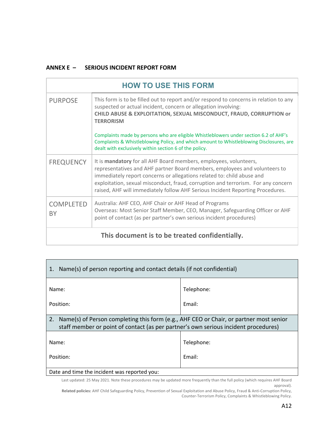#### **ANNEX E – SERIOUS INCIDENT REPORT FORM**

| <b>HOW TO USE THIS FORM</b>                    |                                                                                                                                                                                                                                                                                                                                                                                                  |  |  |
|------------------------------------------------|--------------------------------------------------------------------------------------------------------------------------------------------------------------------------------------------------------------------------------------------------------------------------------------------------------------------------------------------------------------------------------------------------|--|--|
| <b>PURPOSE</b>                                 | This form is to be filled out to report and/or respond to concerns in relation to any<br>suspected or actual incident, concern or allegation involving:<br>CHILD ABUSE & EXPLOITATION, SEXUAL MISCONDUCT, FRAUD, CORRUPTION or<br><b>TERRORISM</b>                                                                                                                                               |  |  |
|                                                | Complaints made by persons who are eligible Whistleblowers under section 6.2 of AHF's<br>Complaints & Whistleblowing Policy, and which amount to Whistleblowing Disclosures, are<br>dealt with exclusively within section 6 of the policy.                                                                                                                                                       |  |  |
| <b>FREQUENCY</b>                               | It is mandatory for all AHF Board members, employees, volunteers,<br>representatives and AHF partner Board members, employees and volunteers to<br>immediately report concerns or allegations related to: child abuse and<br>exploitation, sexual misconduct, fraud, corruption and terrorism. For any concern<br>raised, AHF will immediately follow AHF Serious Incident Reporting Procedures. |  |  |
| <b>COMPLETED</b><br>BY                         | Australia: AHF CEO, AHF Chair or AHF Head of Programs<br>Overseas: Most Senior Staff Member, CEO, Manager, Safeguarding Officer or AHF<br>point of contact (as per partner's own serious incident procedures)                                                                                                                                                                                    |  |  |
| This document is to be treated confidentially. |                                                                                                                                                                                                                                                                                                                                                                                                  |  |  |

| Name(s) of person reporting and contact details (if not confidential)                                                                                                               |            |  |
|-------------------------------------------------------------------------------------------------------------------------------------------------------------------------------------|------------|--|
| Name:                                                                                                                                                                               | Telephone: |  |
| Position:                                                                                                                                                                           | Email:     |  |
| 2.<br>Name(s) of Person completing this form (e.g., AHF CEO or Chair, or partner most senior<br>staff member or point of contact (as per partner's own serious incident procedures) |            |  |
| Name:                                                                                                                                                                               | Telephone: |  |
| Position:                                                                                                                                                                           | Email:     |  |
| Date and time the incident was reported you:                                                                                                                                        |            |  |

Last updated: 25 May 2021. Note these procedures may be updated more frequently than the full policy (which requires AHF Board approval).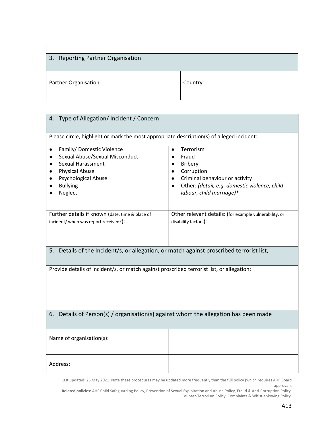| 3. Reporting Partner Organisation |          |
|-----------------------------------|----------|
| Partner Organisation:             | Country: |

| 4. Type of Allegation/ Incident / Concern                                                                                                                                                                     |                                                                                                                                             |
|---------------------------------------------------------------------------------------------------------------------------------------------------------------------------------------------------------------|---------------------------------------------------------------------------------------------------------------------------------------------|
| Please circle, highlight or mark the most appropriate description(s) of alleged incident:<br>Family/Domestic Violence<br>$\bullet$<br>Sexual Abuse/Sexual Misconduct<br>$\bullet$<br><b>Sexual Harassment</b> | Terrorism<br>Fraud                                                                                                                          |
| $\bullet$<br><b>Physical Abuse</b><br><b>Psychological Abuse</b><br>$\bullet$<br><b>Bullying</b><br>Neglect                                                                                                   | <b>Bribery</b><br>Corruption<br>Criminal behaviour or activity<br>Other: (detail, e.g. domestic violence, child<br>labour, child marriage)* |
| Further details if known (date, time & place of<br>incident/ when was report received?):                                                                                                                      | Other relevant details: (for example vulnerability, or<br>disability factors):                                                              |
| 5. Details of the Incident/s, or allegation, or match against proscribed terrorist list,                                                                                                                      |                                                                                                                                             |
| Provide details of incident/s, or match against proscribed terrorist list, or allegation:                                                                                                                     |                                                                                                                                             |
| 6. Details of Person(s) / organisation(s) against whom the allegation has been made                                                                                                                           |                                                                                                                                             |
| Name of organisation(s):                                                                                                                                                                                      |                                                                                                                                             |
| Address:                                                                                                                                                                                                      |                                                                                                                                             |

Last updated: 25 May 2021. Note these procedures may be updated more frequently than the full policy (which requires AHF Board approval).

**Related policies:** AHF Child Safeguarding Policy, Prevention of Sexual Exploitation and Abuse Policy, Fraud & Anti-Corruption Policy, Counter-Terrorism Policy, Complaints & Whistleblowing Policy.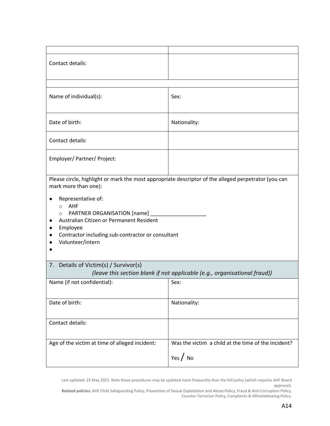| Contact details:                                                                                                                                                                                                                                                                                                                                                    |                                                                           |
|---------------------------------------------------------------------------------------------------------------------------------------------------------------------------------------------------------------------------------------------------------------------------------------------------------------------------------------------------------------------|---------------------------------------------------------------------------|
|                                                                                                                                                                                                                                                                                                                                                                     |                                                                           |
| Name of individual(s):                                                                                                                                                                                                                                                                                                                                              | Sex:                                                                      |
| Date of birth:                                                                                                                                                                                                                                                                                                                                                      | Nationality:                                                              |
| Contact details:                                                                                                                                                                                                                                                                                                                                                    |                                                                           |
| Employer/ Partner/ Project:                                                                                                                                                                                                                                                                                                                                         |                                                                           |
| Please circle, highlight or mark the most appropriate descriptor of the alleged perpetrator (you can<br>mark more than one):<br>Representative of:<br><b>AHF</b><br>$\circ$<br>PARTNER ORGANISATION [name]<br>$\circ$<br>Australian Citizen or Permanent Resident<br>$\bullet$<br>Employee<br>Contractor including sub-contractor or consultant<br>Volunteer/intern |                                                                           |
| 7. Details of Victim(s) / Survivor(s)                                                                                                                                                                                                                                                                                                                               | (leave this section blank if not applicable (e.g., organisational fraud)) |
| Name (if not confidential):                                                                                                                                                                                                                                                                                                                                         | Sex:                                                                      |
| Date of birth:                                                                                                                                                                                                                                                                                                                                                      | Nationality:                                                              |
| Contact details:                                                                                                                                                                                                                                                                                                                                                    |                                                                           |
| Age of the victim at time of alleged incident:                                                                                                                                                                                                                                                                                                                      | Was the victim a child at the time of the incident?<br>Yes $\int$ No      |

Last updated: 25 May 2021. Note these procedures may be updated more frequently than the full policy (which requires AHF Board approval).

**Related policies:** AHF Child Safeguarding Policy, Prevention of Sexual Exploitation and Abuse Policy, Fraud & Anti-Corruption Policy, Counter-Terrorism Policy, Complaints & Whistleblowing Policy.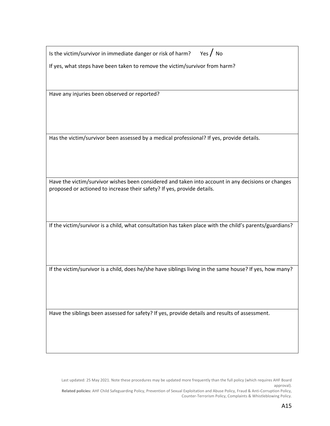Is the victim/survivor in immediate danger or risk of harm? Yes  $/$  No

If yes, what steps have been taken to remove the victim/survivor from harm?

Have any injuries been observed or reported?

Has the victim/survivor been assessed by a medical professional? If yes, provide details.

Have the victim/survivor wishes been considered and taken into account in any decisions or changes proposed or actioned to increase their safety? If yes, provide details.

If the victim/survivor is a child, what consultation has taken place with the child's parents/guardians?

If the victim/survivor is a child, does he/she have siblings living in the same house? If yes, how many?

Have the siblings been assessed for safety? If yes, provide details and results of assessment.

Last updated: 25 May 2021. Note these procedures may be updated more frequently than the full policy (which requires AHF Board approval).

**Related policies:** AHF Child Safeguarding Policy, Prevention of Sexual Exploitation and Abuse Policy, Fraud & Anti-Corruption Policy, Counter-Terrorism Policy, Complaints & Whistleblowing Policy.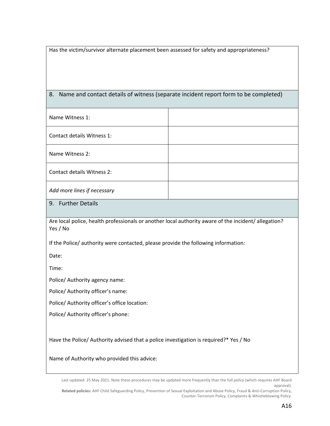Has the victim/survivor alternate placement been assessed for safety and appropriateness?

### 8. Name and contact details of witness (separate incident report form to be completed)

| Name Witness 1:             |  |
|-----------------------------|--|
| Contact details Witness 1:  |  |
| Name Witness 2:             |  |
| Contact details Witness 2:  |  |
| Add more lines if necessary |  |

9. Further Details

Are local police, health professionals or another local authority aware of the incident/ allegation? Yes / No

If the Police/ authority were contacted, please provide the following information:

Date:

Time:

Police/ Authority agency name:

Police/ Authority officer's name:

Police/ Authority officer's office location:

Police/ Authority officer's phone:

Have the Police/ Authority advised that a police investigation is required?\* Yes / No

Name of Authority who provided this advice:

Last updated: 25 May 2021. Note these procedures may be updated more frequently than the full policy (which requires AHF Board approval).

**Related policies:** AHF Child Safeguarding Policy, Prevention of Sexual Exploitation and Abuse Policy, Fraud & Anti-Corruption Policy, Counter-Terrorism Policy, Complaints & Whistleblowing Policy.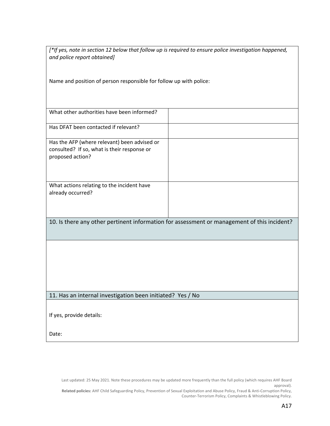*[\*If yes, note in section 12 below that follow up is required to ensure police investigation happened, and police report obtained]*

Name and position of person responsible for follow up with police:

| What other authorities have been informed?                                                                      |                                                                                             |
|-----------------------------------------------------------------------------------------------------------------|---------------------------------------------------------------------------------------------|
| Has DFAT been contacted if relevant?                                                                            |                                                                                             |
| Has the AFP (where relevant) been advised or<br>consulted? If so, what is their response or<br>proposed action? |                                                                                             |
| What actions relating to the incident have<br>already occurred?                                                 |                                                                                             |
|                                                                                                                 | 10. Is there any other pertinent information for assessment or management of this incident? |
|                                                                                                                 |                                                                                             |
|                                                                                                                 |                                                                                             |
|                                                                                                                 |                                                                                             |
| 11. Has an internal investigation been initiated? Yes / No                                                      |                                                                                             |
| If yes, provide details:                                                                                        |                                                                                             |
|                                                                                                                 |                                                                                             |

Last updated: 25 May 2021. Note these procedures may be updated more frequently than the full policy (which requires AHF Board approval).